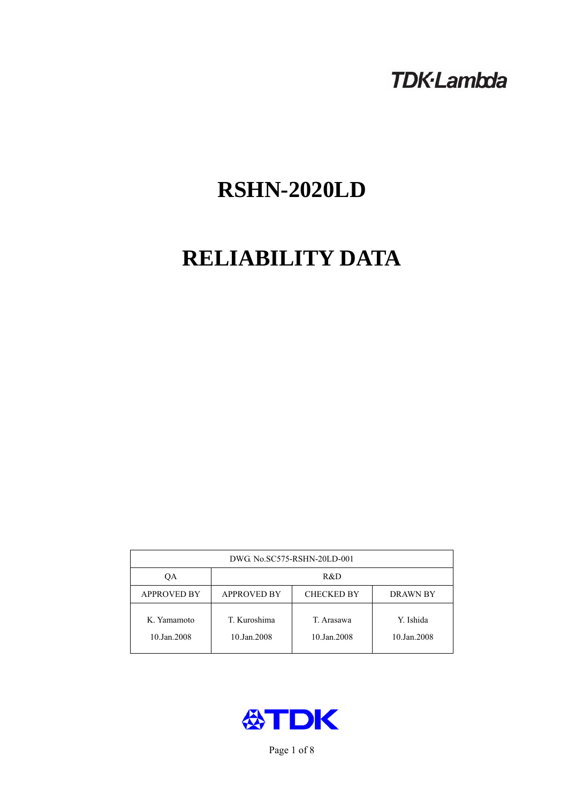# **TDK-Lambda**

# **RSHN-2020LD**

# **RELIABILITY DATA**

| DWG. No.SC575-RSHN-20LD-001 |                                                     |                           |                          |  |  |
|-----------------------------|-----------------------------------------------------|---------------------------|--------------------------|--|--|
| ОA                          | R&D                                                 |                           |                          |  |  |
| <b>APPROVED BY</b>          | <b>APPROVED BY</b><br><b>CHECKED BY</b><br>DRAWN BY |                           |                          |  |  |
| K. Yamamoto<br>10.Jan.2008  | T. Kuroshima<br>10.Jan.2008                         | T. Arasawa<br>10.Jan.2008 | Y. Ishida<br>10.Jan.2008 |  |  |



Page 1 of 8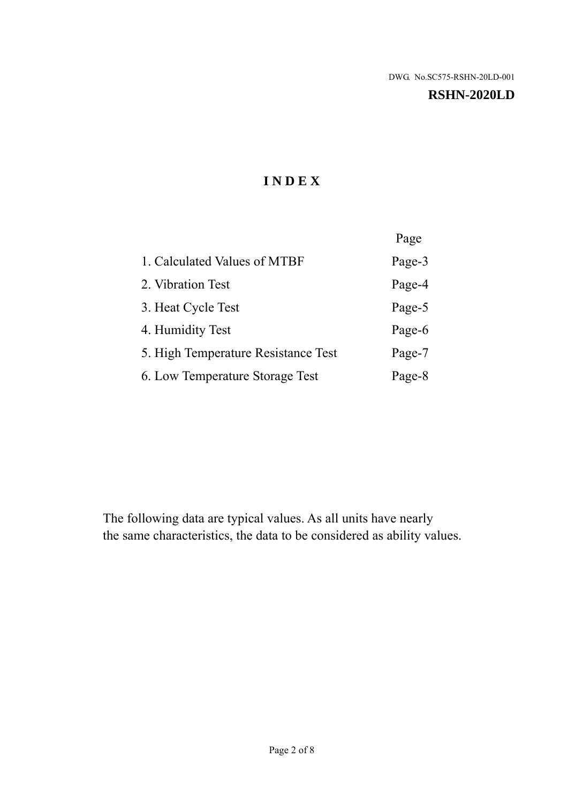### **RSHN-2020LD**

# **I N D E X**

|                                     | Page   |
|-------------------------------------|--------|
| 1. Calculated Values of MTBF        | Page-3 |
| 2. Vibration Test                   | Page-4 |
| 3. Heat Cycle Test                  | Page-5 |
| 4. Humidity Test                    | Page-6 |
| 5. High Temperature Resistance Test | Page-7 |
| 6. Low Temperature Storage Test     | Page-8 |

The following data are typical values. As all units have nearly the same characteristics, the data to be considered as ability values.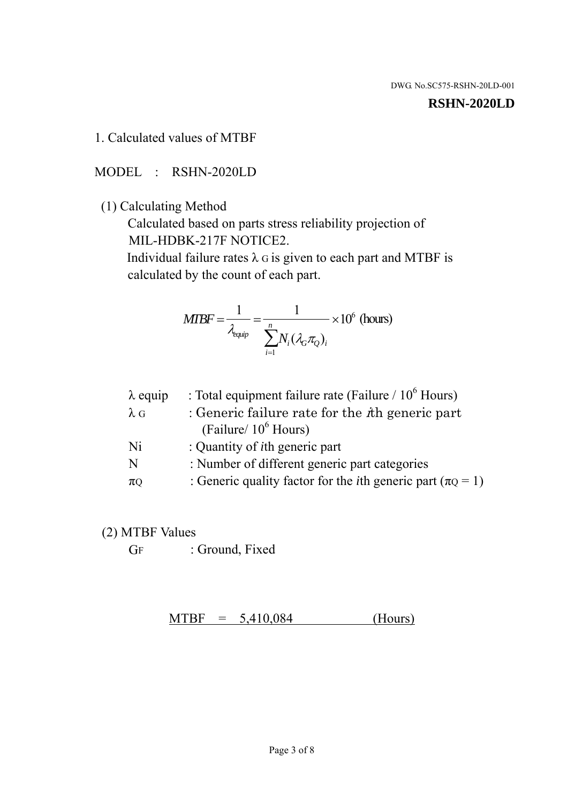#### **RSHN-2020LD**

## 1. Calculated values of MTBF

## MODEL : RSHN-2020LD

## (1) Calculating Method

 Calculated based on parts stress reliability projection of MIL-HDBK-217F NOTICE2.

Individual failure rates  $\lambda$  G is given to each part and MTBF is calculated by the count of each part.

$$
MTBF = \frac{1}{\lambda_{\text{equip}}} = \frac{1}{\sum_{i=1}^{n} N_i (\lambda_G \pi_Q)_i} \times 10^6 \text{ (hours)}
$$

| : Total equipment failure rate (Failure / $10^6$ Hours)                   |
|---------------------------------------------------------------------------|
| : Generic failure rate for the $\hbar$ generic part                       |
| (Failure/ $10^6$ Hours)                                                   |
| : Quantity of <i>i</i> th generic part                                    |
| : Number of different generic part categories                             |
| : Generic quality factor for the <i>i</i> th generic part ( $\pi Q = 1$ ) |
|                                                                           |

## (2) MTBF Values

GF : Ground, Fixed

 $MTBF = 5,410,084$  (Hours)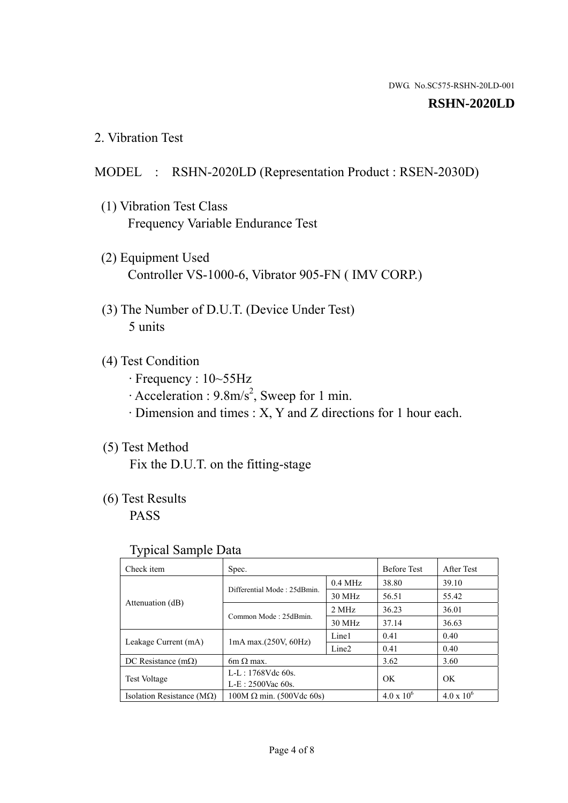### **RSHN-2020LD**

2. Vibration Test

## MODEL : RSHN-2020LD (Representation Product : RSEN-2030D)

- (1) Vibration Test Class Frequency Variable Endurance Test
- (2) Equipment Used Controller VS-1000-6, Vibrator 905-FN ( IMV CORP.)
- (3) The Number of D.U.T. (Device Under Test) 5 units
- (4) Test Condition
	- · Frequency : 10~55Hz
	- $\cdot$  Acceleration : 9.8m/s<sup>2</sup>, Sweep for 1 min.
	- · Dimension and times : X, Y and Z directions for 1 hour each.

## (5) Test Method

Fix the D.U.T. on the fitting-stage

# (6) Test Results

PASS

### Typical Sample Data

| Check item                         | Spec.                           |           | <b>Before Test</b>  | After Test        |
|------------------------------------|---------------------------------|-----------|---------------------|-------------------|
| Attenuation (dB)                   | Differential Mode: 25dBmin.     | $0.4$ MHz | 38.80               | 39.10             |
|                                    |                                 | 30 MHz    | 56.51               | 55.42             |
|                                    | Common Mode: 25dBmin.           | 2 MHz     | 36.23               | 36.01             |
|                                    |                                 | 30 MHz    | 37.14               | 36.63             |
| Leakage Current (mA)               | $1mA$ max. $(250V, 60Hz)$       | Line1     | 0.41                | 0.40              |
|                                    |                                 | Line2     | 0.41                | 0.40              |
| DC Resistance $(m\Omega)$          | $6m \Omega$ max.                |           | 3.62                | 3.60              |
| <b>Test Voltage</b>                | $L-L: 1768Vdc$ 60s.             |           |                     |                   |
|                                    | $L-E: 2500$ Vac 60s.            |           | OK                  | OK                |
| Isolation Resistance ( $M\Omega$ ) | $100M \Omega$ min. (500Vdc 60s) |           | $4.0 \times 10^{6}$ | $4.0 \times 10^6$ |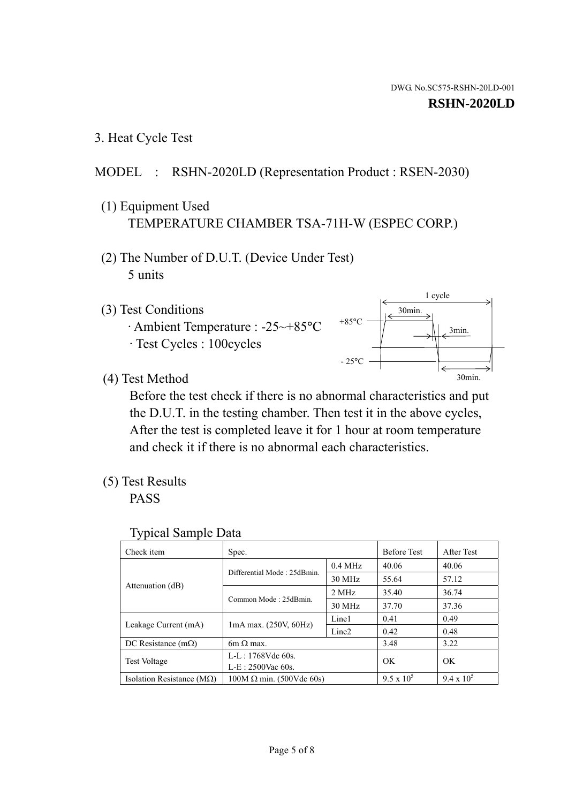1 cycle

30min.

3min.

30min.

3. Heat Cycle Test

## MODEL : RSHN-2020LD (Representation Product : RSEN-2030)

- (1) Equipment Used TEMPERATURE CHAMBER TSA-71H-W (ESPEC CORP.)
- (2) The Number of D.U.T. (Device Under Test) 5 units
- (3) Test Conditions
	- · Ambient Temperature : -25~+85°C · Test Cycles : 100cycles
- (4) Test Method

 Before the test check if there is no abnormal characteristics and put the D.U.T. in the testing chamber. Then test it in the above cycles, After the test is completed leave it for 1 hour at room temperature and check it if there is no abnormal each characteristics.

 $+85$ °C

 $-25$ °C

(5) Test Results

PASS

| <b>Typical Sample Data</b> |  |  |
|----------------------------|--|--|
|----------------------------|--|--|

| Check item                         | Spec.                           |                   | <b>Before Test</b> | After Test        |
|------------------------------------|---------------------------------|-------------------|--------------------|-------------------|
|                                    | Differential Mode: 25dBmin.     | $0.4$ MHz         | 40.06              | 40.06             |
|                                    |                                 | 30 MHz            | 55.64              | 57.12             |
| Attenuation (dB)                   | Common Mode: 25dBmin.           | 2 MHz             | 35.40              | 36.74             |
|                                    |                                 | 30 MHz            | 37.70              | 37.36             |
| Leakage Current (mA)               | $1mA$ max. $(250V, 60Hz)$       | Line1             | 0.41               | 0.49              |
|                                    |                                 | Line <sub>2</sub> | 0.42               | 0.48              |
| DC Resistance $(m\Omega)$          | 6m $\Omega$ max.                |                   | 3.48               | 3.22              |
| <b>Test Voltage</b>                | $L-L: 1768Vdc$ 60s.             |                   | OK                 | OK                |
|                                    | $L-E: 2500$ Vac 60s.            |                   |                    |                   |
| Isolation Resistance ( $M\Omega$ ) | $100M \Omega$ min. (500Vdc 60s) |                   | $9.5 \times 10^5$  | $9.4 \times 10^5$ |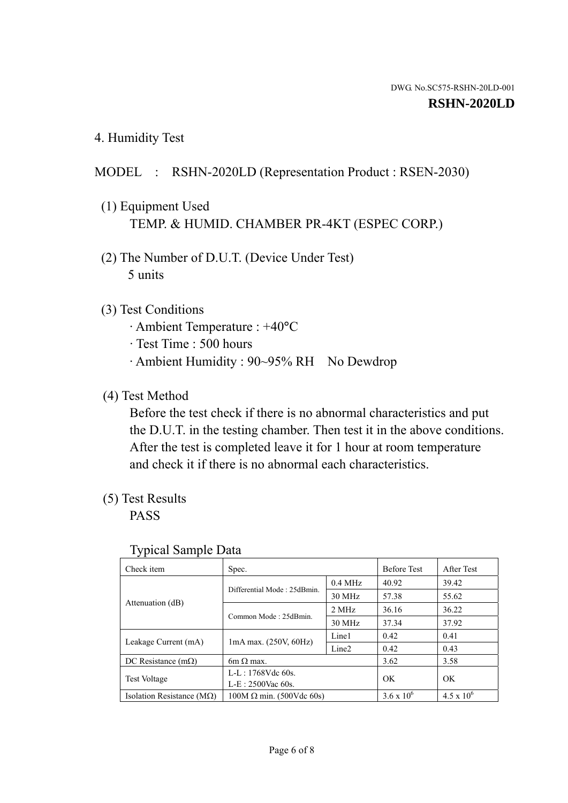4. Humidity Test

## MODEL : RSHN-2020LD (Representation Product : RSEN-2030)

- (1) Equipment Used TEMP. & HUMID. CHAMBER PR-4KT (ESPEC CORP.)
- (2) The Number of D.U.T. (Device Under Test) 5 units

## (3) Test Conditions

- · Ambient Temperature : +40°C
- · Test Time : 500 hours
- · Ambient Humidity : 90~95% RH No Dewdrop

## (4) Test Method

 Before the test check if there is no abnormal characteristics and put the D.U.T. in the testing chamber. Then test it in the above conditions. After the test is completed leave it for 1 hour at room temperature and check it if there is no abnormal each characteristics.

## (5) Test Results

PASS

| . .                                |                                 |                   |                     |                     |
|------------------------------------|---------------------------------|-------------------|---------------------|---------------------|
| Check item                         | Spec.                           |                   | <b>Before Test</b>  | After Test          |
| Attenuation (dB)                   | Differential Mode: 25dBmin.     | $0.4$ MHz         | 40.92               | 39.42               |
|                                    |                                 | 30 MHz            | 57.38               | 55.62               |
|                                    | Common Mode: 25dBmin.           | 2 MHz             | 36.16               | 36.22               |
|                                    |                                 | 30 MHz            | 37.34               | 37.92               |
| Leakage Current (mA)               | $1mA$ max. $(250V, 60Hz)$       | Line1             | 0.42                | 0.41                |
|                                    |                                 | Line <sub>2</sub> | 0.42                | 0.43                |
| DC Resistance (m $\Omega$ )        | $6m \Omega$ max.                |                   | 3.62                | 3.58                |
| <b>Test Voltage</b>                | $L-L: 1768Vdc$ 60s.             |                   | OK                  | OK.                 |
|                                    | $L-E$ : 2500Vac 60s.            |                   |                     |                     |
| Isolation Resistance ( $M\Omega$ ) | $100M \Omega$ min. (500Vdc 60s) |                   | $3.6 \times 10^{6}$ | $4.5 \times 10^{6}$ |

#### Typical Sample Data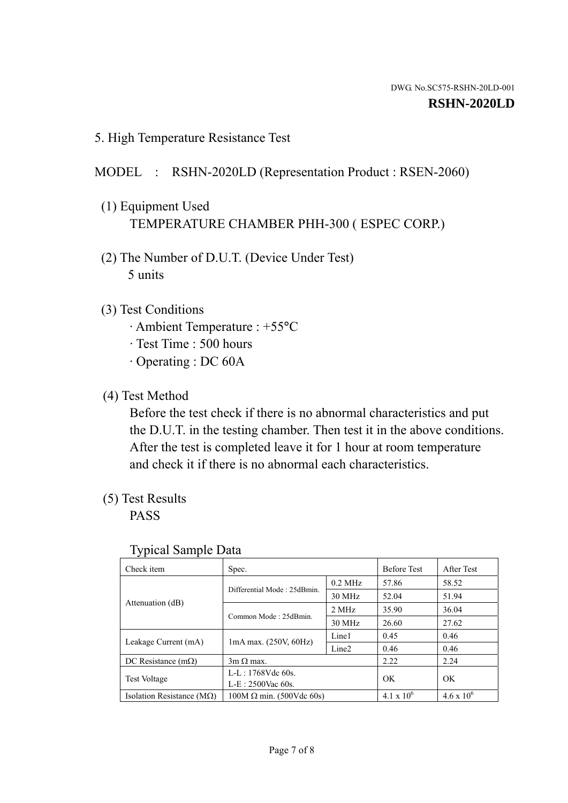5. High Temperature Resistance Test

# MODEL : RSHN-2020LD (Representation Product : RSEN-2060)

- (1) Equipment Used TEMPERATURE CHAMBER PHH-300 ( ESPEC CORP.)
- (2) The Number of D.U.T. (Device Under Test) 5 units
- (3) Test Conditions
	- · Ambient Temperature : +55°C
	- · Test Time : 500 hours
	- · Operating : DC 60A
- (4) Test Method

 Before the test check if there is no abnormal characteristics and put the D.U.T. in the testing chamber. Then test it in the above conditions. After the test is completed leave it for 1 hour at room temperature and check it if there is no abnormal each characteristics.

(5) Test Results

PASS

| J 1                                |                                 |                   |                     |                     |
|------------------------------------|---------------------------------|-------------------|---------------------|---------------------|
| Check item                         | Spec.                           |                   | <b>Before Test</b>  | After Test          |
| Attenuation (dB)                   | Differential Mode: 25dBmin.     | $0.2$ MHz         | 57.86               | 58.52               |
|                                    |                                 | 30 MHz            | 52.04               | 51.94               |
|                                    | Common Mode: 25dBmin.           | 2 MHz             | 35.90               | 36.04               |
|                                    |                                 | 30 MHz            | 26.60               | 27.62               |
| Leakage Current (mA)               | $1mA$ max. $(250V, 60Hz)$       | Line1             | 0.45                | 0.46                |
|                                    |                                 | Line <sub>2</sub> | 0.46                | 0.46                |
| DC Resistance $(m\Omega)$          | $3m \Omega$ max.                |                   | 2.22                | 2.24                |
| <b>Test Voltage</b>                | $L-L: 1768Vdc$ 60s.             |                   | OK                  | OK                  |
|                                    | $L-E: 2500$ Vac 60s.            |                   |                     |                     |
| Isolation Resistance ( $M\Omega$ ) | $100M \Omega$ min. (500Vdc 60s) |                   | $4.1 \times 10^{6}$ | $4.6 \times 10^{6}$ |

## Typical Sample Data